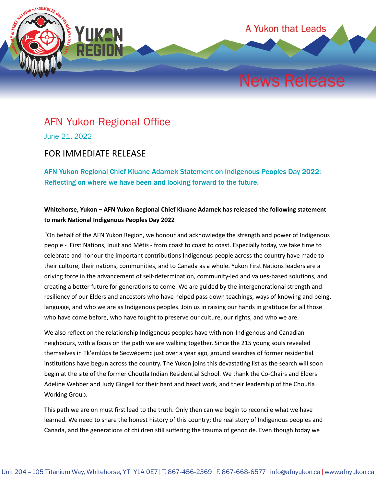

## AFN Yukon Regional Office

June 21, 2022

## FOR IMMEDIATE RELEASE

AFN Yukon Regional Chief Kluane Adamek Statement on Indigenous Peoples Day 2022: Reflecting on where we have been and looking forward to the future.

## **Whitehorse, Yukon – AFN Yukon Regional Chief Kluane Adamek has released the following statement to mark National Indigenous Peoples Day 2022**

"On behalf of the AFN Yukon Region, we honour and acknowledge the strength and power of Indigenous people - First Nations, Inuit and Métis - from coast to coast to coast. Especially today, we take time to celebrate and honour the important contributions Indigenous people across the country have made to their culture, their nations, communities, and to Canada as a whole. Yukon First Nations leaders are a driving force in the advancement of self-determination, community-led and values-based solutions, and creating a better future for generations to come. We are guided by the intergenerational strength and resiliency of our Elders and ancestors who have helped pass down teachings, ways of knowing and being, language, and who we are as Indigenous peoples. Join us in raising our hands in gratitude for all those who have come before, who have fought to preserve our culture, our rights, and who we are.

We also reflect on the relationship Indigenous peoples have with non-Indigenous and Canadian neighbours, with a focus on the path we are walking together. Since the 215 young souls revealed themselves in Tk'emlúps te Secwépemc just over a year ago, ground searches of former residential institutions have begun across the country. The Yukon joins this devastating list as the search will soon begin at the site of the former Choutla Indian Residential School. We thank the Co-Chairs and Elders Adeline Webber and Judy Gingell for their hard and heart work, and their leadership of the Choutla Working Group.

This path we are on must first lead to the truth. Only then can we begin to reconcile what we have learned. We need to share the honest history of this country; the real story of Indigenous peoples and Canada, and the generations of children still suffering the trauma of genocide. Even though today we